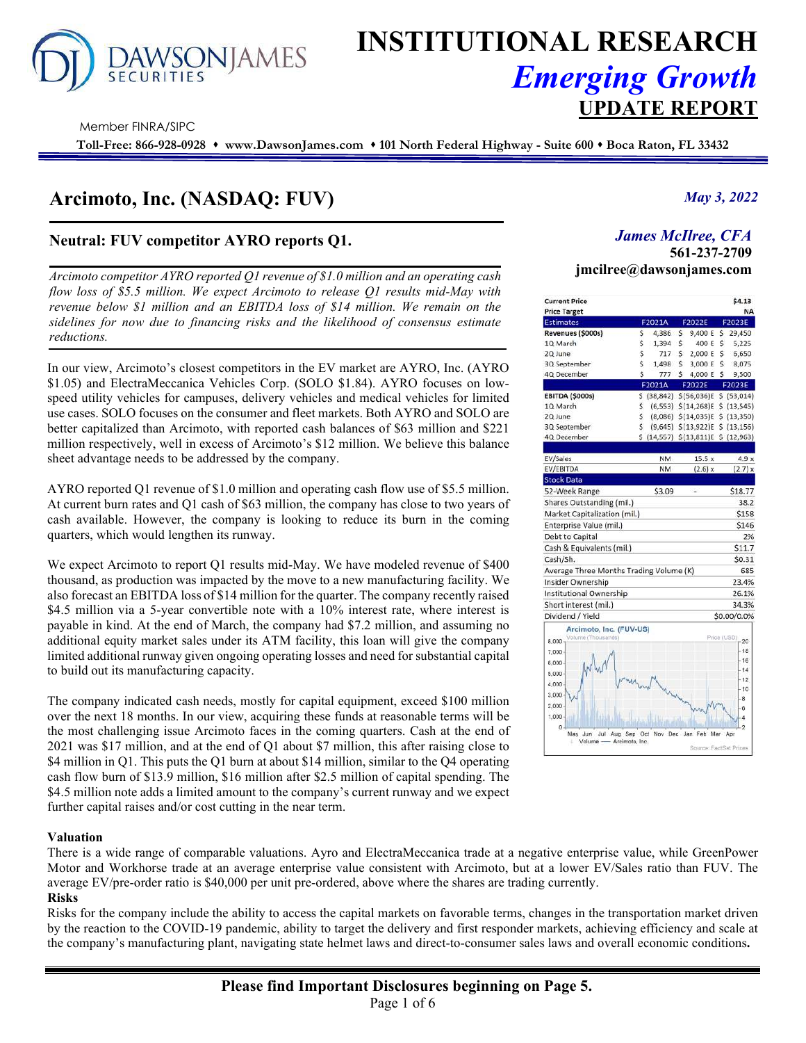# **/SONJAMES**

## **INSTITUTIONAL RESEARCH** *Emerging Growth* **UPDATE REPORT**

Member FINRA/SIPC

**Toll-Free: 866-928-0928 www.DawsonJames.com 101 North Federal Highway - Suite 600 Boca Raton, FL 33432**

### **Arcimoto, Inc. (NASDAQ: FUV)**

#### **Neutral: FUV competitor AYRO reports Q1.**

*Arcimoto competitor AYRO reported Q1 revenue of \$1.0 million and an operating cash flow loss of \$5.5 million. We expect Arcimoto to release Q1 results mid-May with revenue below \$1 million and an EBITDA loss of \$14 million. We remain on the sidelines for now due to financing risks and the likelihood of consensus estimate reductions.* 

In our view, Arcimoto's closest competitors in the EV market are AYRO, Inc. (AYRO \$1.05) and ElectraMeccanica Vehicles Corp. (SOLO \$1.84). AYRO focuses on lowspeed utility vehicles for campuses, delivery vehicles and medical vehicles for limited use cases. SOLO focuses on the consumer and fleet markets. Both AYRO and SOLO are better capitalized than Arcimoto, with reported cash balances of \$63 million and \$221 million respectively, well in excess of Arcimoto's \$12 million. We believe this balance sheet advantage needs to be addressed by the company.

AYRO reported Q1 revenue of \$1.0 million and operating cash flow use of \$5.5 million. At current burn rates and Q1 cash of \$63 million, the company has close to two years of cash available. However, the company is looking to reduce its burn in the coming quarters, which would lengthen its runway.

We expect Arcimoto to report Q1 results mid-May. We have modeled revenue of \$400 thousand, as production was impacted by the move to a new manufacturing facility. We also forecast an EBITDA loss of \$14 million for the quarter. The company recently raised \$4.5 million via a 5-year convertible note with a 10% interest rate, where interest is payable in kind. At the end of March, the company had \$7.2 million, and assuming no additional equity market sales under its ATM facility, this loan will give the company limited additional runway given ongoing operating losses and need for substantial capital to build out its manufacturing capacity.

The company indicated cash needs, mostly for capital equipment, exceed \$100 million over the next 18 months. In our view, acquiring these funds at reasonable terms will be the most challenging issue Arcimoto faces in the coming quarters. Cash at the end of 2021 was \$17 million, and at the end of Q1 about \$7 million, this after raising close to \$4 million in Q1. This puts the Q1 burn at about \$14 million, similar to the Q4 operating cash flow burn of \$13.9 million, \$16 million after \$2.5 million of capital spending. The \$4.5 million note adds a limited amount to the company's current runway and we expect further capital raises and/or cost cutting in the near term.

#### **Valuation**

There is a wide range of comparable valuations. Ayro and ElectraMeccanica trade at a negative enterprise value, while GreenPower Motor and Workhorse trade at an average enterprise value consistent with Arcimoto, but at a lower EV/Sales ratio than FUV. The average EV/pre-order ratio is \$40,000 per unit pre-ordered, above where the shares are trading currently. **Risks** 

Risks for the company include the ability to access the capital markets on favorable terms, changes in the transportation market driven by the reaction to the COVID-19 pandemic, ability to target the delivery and first responder markets, achieving efficiency and scale at the company's manufacturing plant, navigating state helmet laws and direct-to-consumer sales laws and overall economic conditions**.** 

#### *May 3, 2022*

#### *James McIlree, CFA*  **561-237-2709**

**Investment Highlights jmcilree@dawsonjames.com** 

| <b>Current Price</b>                    |     |           |    |                                      |    | \$4.13                |
|-----------------------------------------|-----|-----------|----|--------------------------------------|----|-----------------------|
| <b>Price Target</b>                     |     |           |    |                                      |    | <b>NA</b>             |
| <b>Estimates</b>                        |     | F2021A    |    | F2022E                               |    | F2023E                |
| Revenues (\$000s)                       | \$  |           |    | 4,386 \$ 9,400 E \$ 29,450           |    |                       |
| 10 March                                | \$  | 1,394     | Ŝ  | 400 E                                | Ś  | 5,225                 |
| 2Q June                                 | Ś   | 717S      |    | 2,000 E                              | Ś. | 6,650                 |
| 3Q September                            | Ś   | 1,498     | \$ | 3,000 E                              | Ś. | 8,075                 |
| 4Q December                             | Ś   | 777       | s. | 4,000 E                              | Ś  | 9,500                 |
|                                         |     | F2021A    |    | F2022E                               |    | F2023E                |
| <b>EBITDA (\$000s)</b>                  |     |           |    | S (38,842) S (56,036)E S (53,014)    |    |                       |
| 1Q March                                | Ś   |           |    | $(6,553)$ $$(14,268)E$               |    | \$(13,545)            |
| 2Q June                                 | \$  |           |    | (8,086) \$(14,035)E \$ (13,350)      |    |                       |
| 3Q September                            | Ś   |           |    | $(9,645)$ \$(13,922)E \$ (13,156)    |    |                       |
| 4Q December                             |     |           |    | S (14,557) \$ (13,811) E \$ (12,963) |    |                       |
|                                         |     |           |    |                                      |    |                       |
| EV/Sales                                |     | <b>NM</b> |    | 15.5x                                |    | 4.9x                  |
| EV/EBITDA                               |     | <b>NM</b> |    | (2.6) x                              |    | (2.7) x               |
| <b>Stock Data</b>                       |     |           |    |                                      |    |                       |
| 52-Week Range                           |     | \$3.09    |    |                                      |    | \$18.77               |
| Shares Outstanding (mil.)               |     |           |    |                                      |    | 38.2                  |
| Market Capitalization (mil.)            |     |           |    |                                      |    | \$158                 |
| Enterprise Value (mil.)                 |     |           |    |                                      |    | \$146                 |
| Debt to Capital                         |     |           |    |                                      |    | 2%                    |
| Cash & Equivalents (mil.)               |     |           |    |                                      |    | \$11.7                |
| Cash/Sh.                                |     |           |    |                                      |    | \$0.31                |
| Average Three Months Trading Volume (K) |     |           |    |                                      |    | 685                   |
| Insider Ownership                       |     |           |    |                                      |    | 23.4%                 |
| Institutional Ownership                 |     |           |    |                                      |    | 26.1%                 |
| Short interest (mil.)                   |     |           |    |                                      |    | 34.3%                 |
| Dividend / Yield                        |     |           |    |                                      |    | \$0.00/0.0%           |
| Arcimoto, Inc. (FUV-US)                 |     |           |    |                                      |    |                       |
| <b>/olume</b> (Thousands)<br>6,000      |     |           |    |                                      |    | Price (USD)<br>20     |
| 7.000                                   |     |           |    |                                      |    | $-18$                 |
| $6.000 -$                               |     |           |    |                                      |    | $-16$                 |
|                                         |     |           |    |                                      |    | $-14$                 |
| $5.000 -$                               |     |           |    |                                      |    | $-12$                 |
| 4.000                                   |     |           |    |                                      |    | 10                    |
| 3,000                                   |     |           |    |                                      |    | 8                     |
| 2,000                                   |     |           |    |                                      |    | 6                     |
| 1.000                                   |     |           |    |                                      |    |                       |
| O.<br>Sep<br>May<br>Jun<br>Jul<br>Aug   | Oct | Nov Dec   |    | Feb<br>Jan                           |    | $\overline{2}$<br>Apr |
| Volume<br>Arcimoto, Inc.                |     |           |    |                                      |    |                       |
|                                         |     |           |    | Source: FactSet Prices               |    |                       |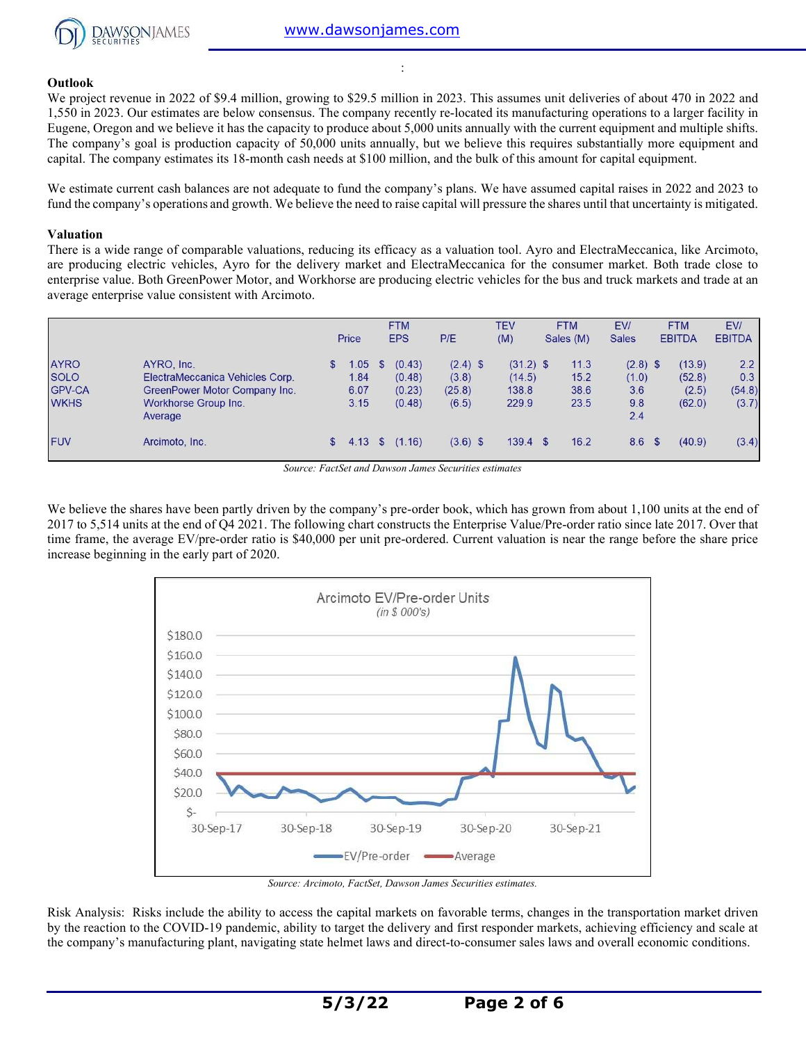

#### **Outlook**

We project revenue in 2022 of \$9.4 million, growing to \$29.5 million in 2023. This assumes unit deliveries of about 470 in 2022 and 1,550 in 2023. Our estimates are below consensus. The company recently re-located its manufacturing operations to a larger facility in Eugene, Oregon and we believe it has the capacity to produce about 5,000 units annually with the current equipment and multiple shifts. The company's goal is production capacity of 50,000 units annually, but we believe this requires substantially more equipment and capital. The company estimates its 18-month cash needs at \$100 million, and the bulk of this amount for capital equipment.

:

We estimate current cash balances are not adequate to fund the company's plans. We have assumed capital raises in 2022 and 2023 to fund the company's operations and growth. We believe the need to raise capital will pressure the shares until that uncertainty is mitigated.

#### **Valuation**

There is a wide range of comparable valuations, reducing its efficacy as a valuation tool. Ayro and ElectraMeccanica, like Arcimoto, are producing electric vehicles, Ayro for the delivery market and ElectraMeccanica for the consumer market. Both trade close to enterprise value. Both GreenPower Motor, and Workhorse are producing electric vehicles for the bus and truck markets and trade at an average enterprise value consistent with Arcimoto.

|               |                                 |            |     | <b>FTM</b> |            | TEV         | <b>FTM</b> | EV/          | <b>FTM</b>    | EV/           |
|---------------|---------------------------------|------------|-----|------------|------------|-------------|------------|--------------|---------------|---------------|
|               |                                 | Price      |     | <b>EPS</b> | P/E        | (M)         | Sales (M)  | <b>Sales</b> | <b>EBITDA</b> | <b>EBITDA</b> |
| <b>AYRO</b>   | AYRO, Inc.                      | 1.05       | \$. | (0.43)     | $(2.4)$ \$ | $(31.2)$ \$ | 11.3       | $(2.8)$ \$   | (13.9)        | 2.2           |
| <b>SOLO</b>   | ElectraMeccanica Vehicles Corp. | 1.84       |     | (0.48)     | (3.8)      | (14.5)      | 15.2       | (1.0)        | (52.8)        | 0.3           |
| <b>GPV-CA</b> | GreenPower Motor Company Inc.   | 6.07       |     | (0.23)     | (25.8)     | 138.8       | 38.6       | 3.6          | (2.5)         | (54.8)        |
| <b>WKHS</b>   | Workhorse Group Inc.<br>Average | 3.15       |     | (0.48)     | (6.5)      | 229.9       | 23.5       | 9.8<br>2.4   | (62.0)        | (3.7)         |
| <b>FUV</b>    | Arcimoto, Inc.                  | $$4.13$ \$ |     | (1.16)     | $(3.6)$ \$ | $139.4$ \$  | 16.2       | 8.6 \$       | (40.9)        | (3.4)         |

*Source: FactSet and Dawson James Securities estimates* 

We believe the shares have been partly driven by the company's pre-order book, which has grown from about 1,100 units at the end of 2017 to 5,514 units at the end of Q4 2021. The following chart constructs the Enterprise Value/Pre-order ratio since late 2017. Over that time frame, the average EV/pre-order ratio is \$40,000 per unit pre-ordered. Current valuation is near the range before the share price increase beginning in the early part of 2020.



Risk Analysis: Risks include the ability to access the capital markets on favorable terms, changes in the transportation market driven by the reaction to the COVID-19 pandemic, ability to target the delivery and first responder markets, achieving efficiency and scale at the company's manufacturing plant, navigating state helmet laws and direct-to-consumer sales laws and overall economic conditions.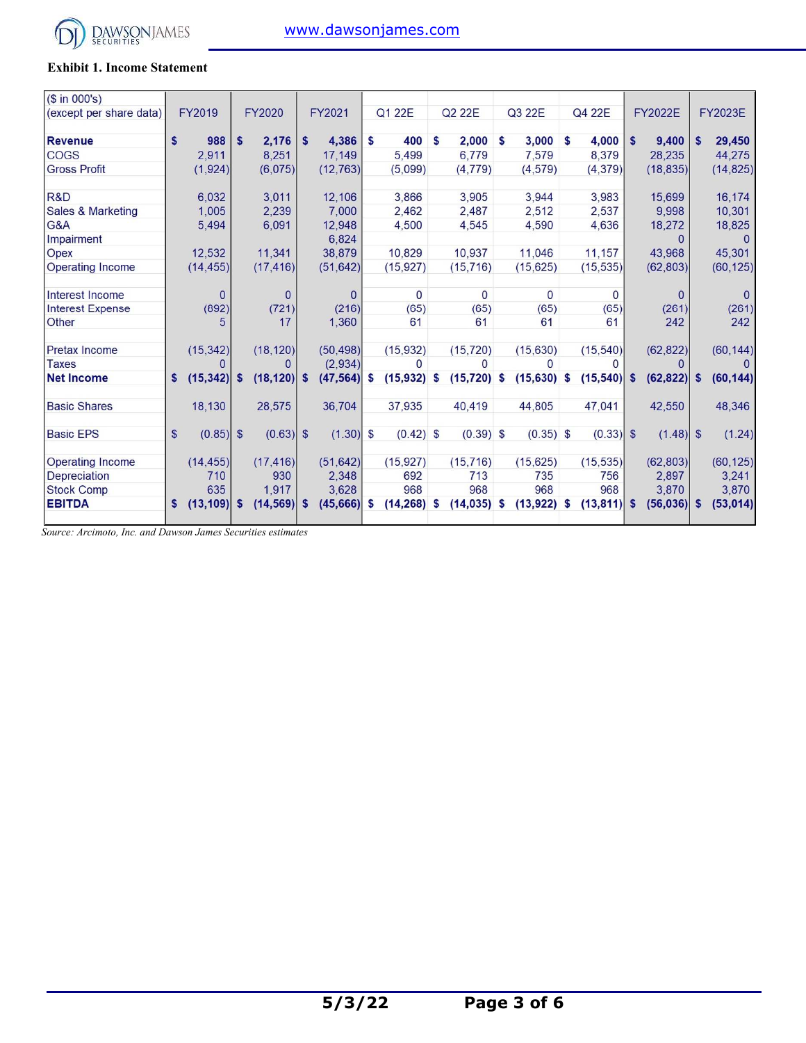

#### **Exhibit 1. Income Statement**

| $($ \text{ in } 000's)$      |              |                |    |               |          |              |    |                |    |                |   |                |    |                |              |                |          |                |
|------------------------------|--------------|----------------|----|---------------|----------|--------------|----|----------------|----|----------------|---|----------------|----|----------------|--------------|----------------|----------|----------------|
| (except per share data)      |              | FY2019         |    | <b>FY2020</b> |          | FY2021       |    | Q1 22E         |    | Q2 22E         |   | Q3 22E         |    | Q4 22E         |              | <b>FY2022E</b> |          | <b>FY2023E</b> |
| <b>Revenue</b>               | s.           | 988            | S  | 2,176         | <b>S</b> | 4,386        | S  | 400            | S  | 2,000          | S | 3,000          | S  | 4,000          | $\mathbf{s}$ | 9,400          | s        | 29,450         |
| <b>COGS</b>                  |              | 2.911          |    | 8,251         |          | 17,149       |    | 5,499          |    | 6,779          |   | 7,579          |    | 8,379          |              | 28,235         |          | 44,275         |
| <b>Gross Profit</b>          |              | (1,924)        |    | (6,075)       |          | (12, 763)    |    | (5,099)        |    | (4, 779)       |   | (4, 579)       |    | (4, 379)       |              | (18, 835)      |          | (14, 825)      |
| R&D                          |              | 6,032          |    | 3,011         |          | 12,106       |    | 3,866          |    | 3,905          |   | 3,944          |    | 3,983          |              | 15,699         |          | 16,174         |
| <b>Sales &amp; Marketing</b> |              | 1,005          |    | 2,239         |          | 7,000        |    | 2,462          |    | 2,487          |   | 2,512          |    | 2,537          |              | 9,998          |          | 10,301         |
| G&A                          |              | 5,494          |    | 6,091         |          | 12,948       |    | 4,500          |    | 4,545          |   | 4.590          |    | 4,636          |              | 18,272         |          | 18,825         |
| Impairment                   |              |                |    |               |          | 6,824        |    |                |    |                |   |                |    |                |              | <sup>n</sup>   |          | 0              |
| Opex                         |              | 12,532         |    | 11,341        |          | 38,879       |    | 10,829         |    | 10,937         |   | 11,046         |    | 11,157         |              | 43,968         |          | 45,301         |
| Operating Income             |              | (14, 455)      |    | (17, 416)     |          | (51, 642)    |    | (15, 927)      |    | (15, 716)      |   | (15, 625)      |    | (15, 535)      |              | (62, 803)      |          | (60, 125)      |
| Interest Income              |              | $\Omega$       |    | $\Omega$      |          | $\mathbf{0}$ |    | $\overline{0}$ |    | $\mathbf{0}$   |   | $\overline{0}$ |    | $\Omega$       |              | $\Omega$       |          | $\Omega$       |
| <b>Interest Expense</b>      |              | (892)          |    | (721)         |          | (216)        |    | (65)           |    | (65)           |   | (65)           |    | (65)           |              | (261)          |          | (261)          |
| Other                        |              | 5              |    | 17            |          | 1,360        |    | 61             |    | 61             |   | 61             |    | 61             |              | 242            |          | 242            |
| Pretax Income                |              | (15, 342)      |    | (18, 120)     |          | (50, 498)    |    | (15, 932)      |    | (15, 720)      |   | (15, 630)      |    | (15, 540)      |              | (62, 822)      |          | (60, 144)      |
| <b>Taxes</b>                 |              |                |    |               |          | (2,934)      |    | $\Omega$       |    | $\Omega$       |   | $\Omega$       |    |                |              |                |          |                |
| <b>Net Income</b>            | s.           | (15, 342)      | -S | (18, 120)     | <b>S</b> | (47, 564)    | S  | $(15,932)$ \$  |    | $(15, 720)$ \$ |   | $(15,630)$ \$  |    | (15, 540)      | $\mathbf{s}$ | (62, 822)      | <b>S</b> | (60, 144)      |
| <b>Basic Shares</b>          |              | 18,130         |    | 28,575        |          | 36,704       |    | 37,935         |    | 40.419         |   | 44,805         |    | 47,041         |              | 42,550         |          | 48,346         |
| <b>Basic EPS</b>             | $\mathbf{s}$ | $(0.85)$ \$    |    | $(0.63)$ \$   |          | $(1.30)$ \$  |    | $(0.42)$ \$    |    | $(0.39)$ \$    |   | $(0.35)$ \$    |    | $(0.33)$ \$    |              | $(1.48)$ \$    |          | (1.24)         |
| Operating Income             |              | (14, 455)      |    | (17, 416)     |          | (51, 642)    |    | (15, 927)      |    | (15, 716)      |   | (15, 625)      |    | (15, 535)      |              | (62, 803)      |          | (60, 125)      |
| <b>Depreciation</b>          |              | 710            |    | 930           |          | 2,348        |    | 692            |    | 713            |   | 735            |    | 756            |              | 2,897          |          | 3,241          |
| <b>Stock Comp</b>            |              | 635            |    | 1,917         |          | 3,628        |    | 968            |    | 968            |   | 968            |    | 968            |              | 3,870          |          | 3,870          |
| <b>EBITDA</b>                | s.           | $(13, 109)$ \$ |    | (14, 569)     | S        | (45,666)     | \$ | (14, 268)      | \$ | $(14, 035)$ \$ |   | (13, 922)      | \$ | $(13, 811)$ \$ |              | $(56,036)$ \$  |          | (53, 014)      |
|                              |              |                |    |               |          |              |    |                |    |                |   |                |    |                |              |                |          |                |

*Source: Arcimoto, Inc. and Dawson James Securities estimates*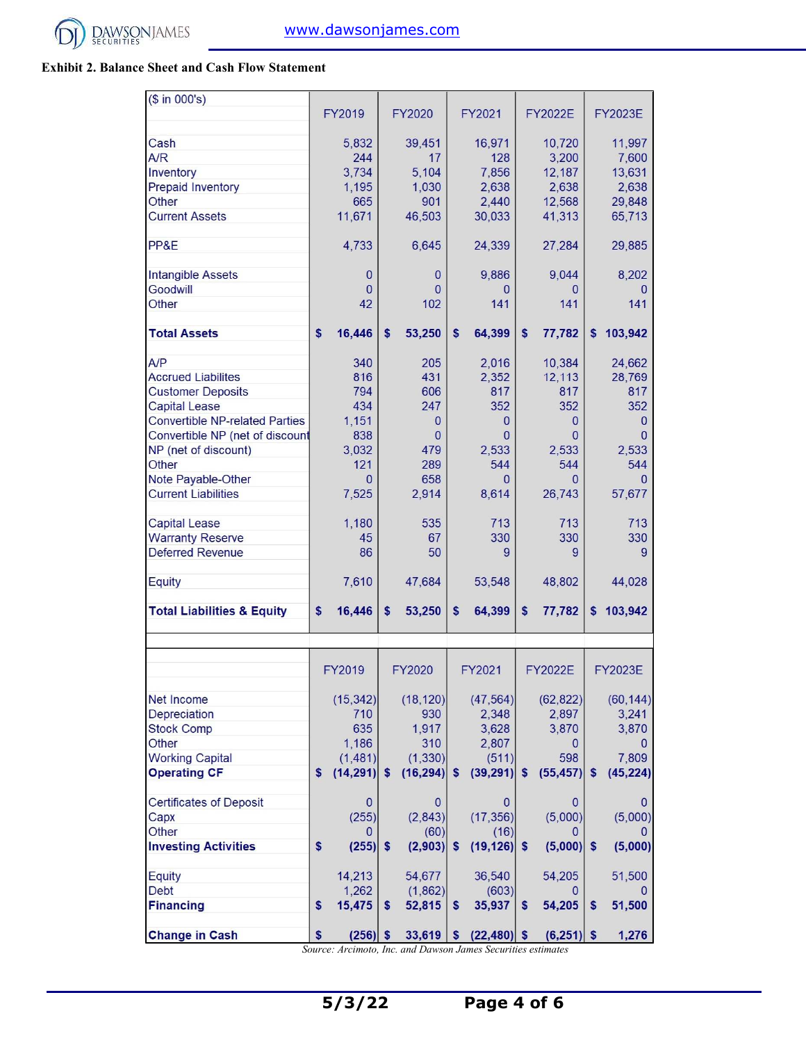

#### **Exhibit 2. Balance Sheet and Cash Flow Statement**

| $($ \text{ in } 000 \text{'s})$       |    |              |          |              |              |                |                  |                |                   |                |
|---------------------------------------|----|--------------|----------|--------------|--------------|----------------|------------------|----------------|-------------------|----------------|
|                                       |    | FY2019       |          | FY2020       |              | FY2021         |                  | <b>FY2022E</b> |                   | <b>FY2023E</b> |
| Cash                                  |    | 5,832        |          | 39,451       |              | 16,971         |                  | 10,720         |                   | 11,997         |
| A/R                                   |    | 244          |          | 17           |              | 128            |                  | 3,200          |                   | 7,600          |
| Inventory                             |    | 3,734        |          | 5,104        |              | 7,856          |                  | 12,187         |                   | 13,631         |
| <b>Prepaid Inventory</b>              |    | 1,195        |          | 1,030        |              | 2,638          |                  | 2,638          |                   | 2,638          |
| <b>Other</b>                          |    | 665          |          | 901          |              | 2,440          |                  | 12,568         |                   | 29,848         |
| <b>Current Assets</b>                 |    | 11,671       |          | 46,503       |              | 30,033         |                  | 41,313         |                   | 65,713         |
|                                       |    |              |          |              |              |                |                  |                |                   |                |
| PP&E                                  |    | 4,733        |          | 6,645        |              | 24,339         |                  | 27,284         |                   | 29,885         |
| Intangible Assets                     |    | 0            |          | 0            |              | 9,886          |                  | 9,044          |                   | 8,202          |
| Goodwill                              |    | $\mathbf{0}$ |          | $\mathbf{0}$ |              | $\Omega$       |                  | 0              |                   | $\Omega$       |
| <b>Other</b>                          |    | 42           |          | 102          |              | 141            |                  | 141            |                   | 141            |
| <b>Total Assets</b>                   | \$ | 16,446       | \$       | 53,250       | \$           | 64,399         | $\boldsymbol{s}$ | 77,782         | $\boldsymbol{\$}$ | 103,942        |
| A/P                                   |    | 340          |          | 205          |              | 2,016          |                  | 10,384         |                   | 24,662         |
| <b>Accrued Liabilites</b>             |    | 816          |          | 431          |              | 2,352          |                  | 12,113         |                   | 28,769         |
| <b>Customer Deposits</b>              |    | 794          |          | 606          |              | 817            |                  | 817            |                   | 817            |
| <b>Capital Lease</b>                  |    | 434          |          | 247          |              | 352            |                  | 352            |                   | 352            |
| <b>Convertible NP-related Parties</b> |    | 1,151        |          | 0            |              | $\mathbf{0}$   |                  | 0              |                   | 0              |
| Convertible NP (net of discount       |    | 838          |          | $\mathbf{0}$ |              | $\Omega$       |                  | $\Omega$       |                   | $\Omega$       |
| NP (net of discount)                  |    | 3,032        |          | 479          |              | 2,533          |                  | 2,533          |                   | 2,533          |
| <b>Other</b>                          |    | 121          |          | 289          |              | 544            |                  | 544            |                   | 544            |
| Note Payable-Other                    |    | $\Omega$     |          | 658          |              | $\Omega$       |                  | 0              |                   | O              |
| <b>Current Liabilities</b>            |    | 7,525        |          | 2,914        |              | 8,614          |                  | 26,743         |                   | 57,677         |
|                                       |    |              |          |              |              |                |                  |                |                   |                |
| <b>Capital Lease</b>                  |    | 1,180        |          | 535          |              | 713            |                  | 713            |                   | 713            |
| <b>Warranty Reserve</b>               |    | 45           |          | 67           |              | 330            |                  | 330            |                   | 330            |
| <b>Deferred Revenue</b>               |    | 86           |          | 50           |              | 9              |                  | 9              |                   | 9              |
| <b>Equity</b>                         |    | 7,610        |          | 47,684       |              | 53,548         |                  | 48,802         |                   | 44,028         |
| <b>Total Liabilities &amp; Equity</b> | \$ | 16,446       | \$       | 53,250       | \$           | 64,399         | \$               | 77,782         | \$                | 103,942        |
|                                       |    |              |          |              |              |                |                  |                |                   |                |
|                                       |    | FY2019       |          | FY2020       |              | FY2021         |                  | <b>FY2022E</b> |                   | <b>FY2023E</b> |
|                                       |    |              |          |              |              |                |                  |                |                   |                |
| Net Income                            |    | (15, 342)    |          | (18, 120)    |              | (47, 564)      |                  | (62, 822)      |                   | (60, 144)      |
| Depreciation                          |    | 710          |          | 930          |              | 2,348          |                  | 2,897          |                   | 3,241          |
| <b>Stock Comp</b>                     |    | 635          |          | 1,917        |              | 3,628          |                  | 3,870          |                   | 3,870          |
| Other                                 |    | 1,186        |          | 310          |              | 2,807          |                  | $\overline{0}$ |                   | 0              |
| <b>Working Capital</b>                |    | (1, 481)     |          | (1, 330)     |              | (511)          |                  | 598            |                   | 7,809          |
| <b>Operating CF</b>                   | S  | (14, 291)    | s        | (16, 294)    | <b>S</b>     | (39, 291)      | s                | (55, 457)      | <b>S</b>          | (45, 224)      |
| <b>Certificates of Deposit</b>        |    | $\bf{0}$     |          | $\mathbf{0}$ |              | $\bf{0}$       |                  | 0              |                   | 0              |
| Capx                                  |    | (255)        |          | (2,843)      |              | (17, 356)      |                  | (5,000)        |                   | (5,000)        |
| Other                                 |    | $\mathbf{0}$ |          | (60)         |              | (16)           |                  | $\Omega$       |                   |                |
| <b>Investing Activities</b>           | \$ | (255)        | <b>S</b> | (2,903)      | $\mathbf{s}$ | $(19, 126)$ \$ |                  | $(5,000)$ \$   |                   | (5,000)        |
| Equity                                |    | 14,213       |          | 54,677       |              | 36,540         |                  | 54,205         |                   | 51,500         |
| <b>Debt</b>                           |    | 1,262        |          | (1,862)      |              | (603)          |                  | 0              |                   |                |
| <b>Financing</b>                      | \$ | 15,475       | s        | 52,815       | $\mathbf{s}$ | 35,937         | $\mathsf{s}$     | 54,205         | \$                | 51,500         |
|                                       |    |              |          |              |              |                |                  |                |                   |                |
| <b>Change in Cash</b>                 | S  | $(256)$ \$   |          | 33,619       | \$.          | $(22, 480)$ \$ |                  | $(6,251)$ \$   |                   | 1,276          |

*Source: Arcimoto, Inc. and Dawson James Securities estimates*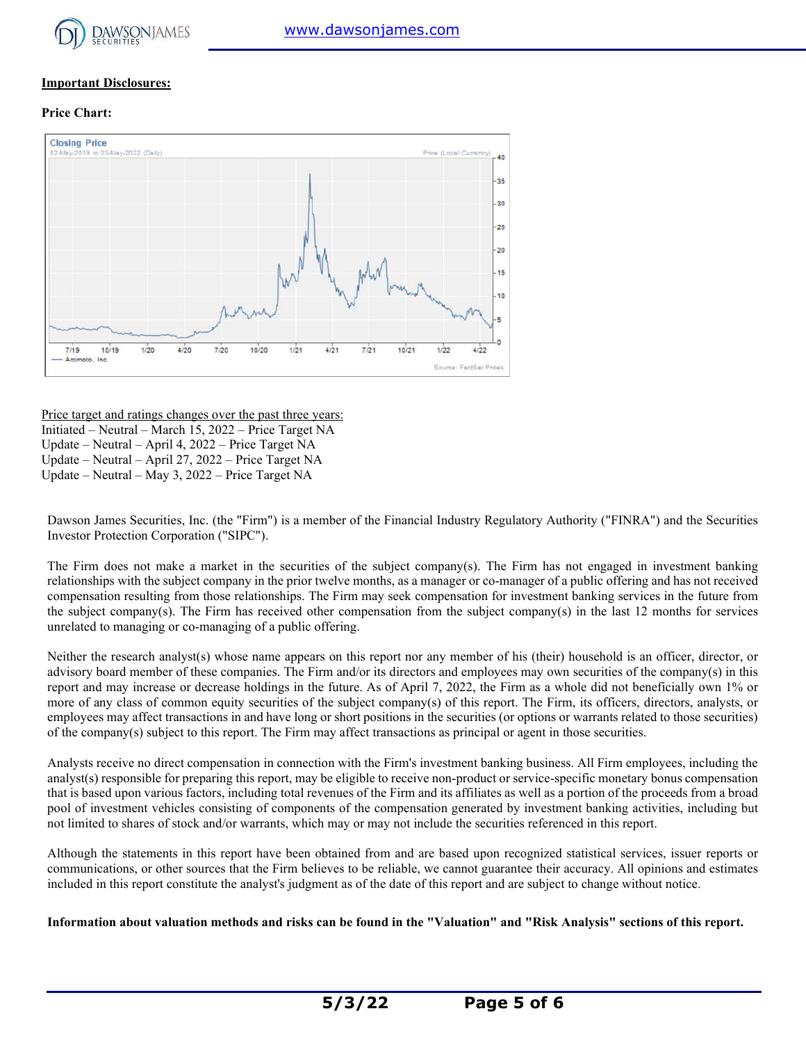

#### **Important Disclosures:**

#### **Price Chart:**



#### Price target and ratings changes over the past three years:

Initiated – Neutral – March 15, 2022 – Price Target NA Update – Neutral – April 4, 2022 – Price Target NA Update – Neutral – April 27, 2022 – Price Target NA Update – Neutral – May 3, 2022 – Price Target NA

Dawson James Securities, Inc. (the "Firm") is a member of the Financial Industry Regulatory Authority ("FINRA") and the Securities Investor Protection Corporation ("SIPC").

The Firm does not make a market in the securities of the subject company(s). The Firm has not engaged in investment banking relationships with the subject company in the prior twelve months, as a manager or co-manager of a public offering and has not received compensation resulting from those relationships. The Firm may seek compensation for investment banking services in the future from the subject company(s). The Firm has received other compensation from the subject company(s) in the last 12 months for services unrelated to managing or co-managing of a public offering.

Neither the research analyst(s) whose name appears on this report nor any member of his (their) household is an officer, director, or advisory board member of these companies. The Firm and/or its directors and employees may own securities of the company(s) in this report and may increase or decrease holdings in the future. As of April 7, 2022, the Firm as a whole did not beneficially own 1% or more of any class of common equity securities of the subject company(s) of this report. The Firm, its officers, directors, analysts, or employees may affect transactions in and have long or short positions in the securities (or options or warrants related to those securities) of the company(s) subject to this report. The Firm may affect transactions as principal or agent in those securities.

Analysts receive no direct compensation in connection with the Firm's investment banking business. All Firm employees, including the analyst(s) responsible for preparing this report, may be eligible to receive non-product or service-specific monetary bonus compensation that is based upon various factors, including total revenues of the Firm and its affiliates as well as a portion of the proceeds from a broad pool of investment vehicles consisting of components of the compensation generated by investment banking activities, including but not limited to shares of stock and/or warrants, which may or may not include the securities referenced in this report.

Although the statements in this report have been obtained from and are based upon recognized statistical services, issuer reports or communications, or other sources that the Firm believes to be reliable, we cannot guarantee their accuracy. All opinions and estimates included in this report constitute the analyst's judgment as of the date of this report and are subject to change without notice.

**Information about valuation methods and risks can be found in the "Valuation" and "Risk Analysis" sections of this report.**